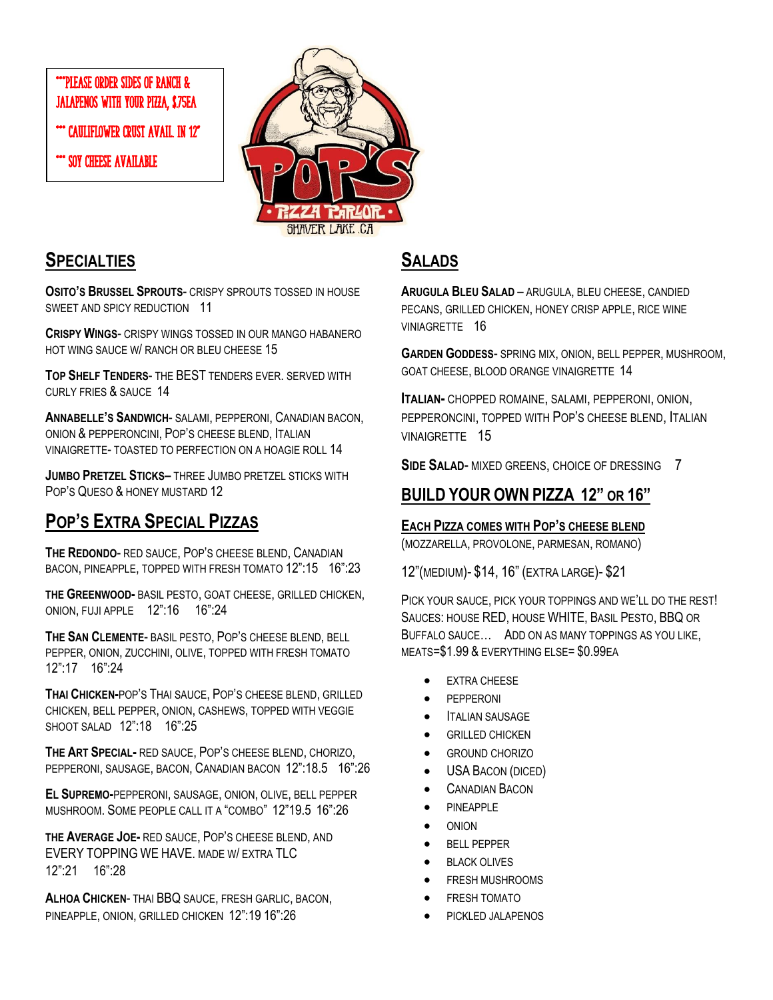### \*\*\*PLEASE ORDER SIDES OF RANCH & JALAPENOS WITH YOUR PIZZA, \$.75EA

\*\*\* CAULIFLOWER CRUST AVAIL. IN 12"

SOY CHEESE AVAILABLE



### **SPECIALTIES**

**OSITO'S BRUSSEL SPROUTS**- CRISPY SPROUTS TOSSED IN HOUSE SWEET AND SPICY REDUCTION 11

**CRISPY WINGS**- CRISPY WINGS TOSSED IN OUR MANGO HABANERO HOT WING SAUCE W/ RANCH OR BLEU CHEESE 15

**TOP SHELF TENDERS**- THE BEST TENDERS EVER. SERVED WITH CURLY FRIES & SAUCE 14

**ANNABELLE'S SANDWICH**- SALAMI, PEPPERONI, CANADIAN BACON, ONION & PEPPERONCINI, POP'S CHEESE BLEND, ITALIAN VINAIGRETTE- TOASTED TO PERFECTION ON A HOAGIE ROLL 14

**JUMBO PRETZEL STICKS–** THREE JUMBO PRETZEL STICKS WITH POP'S QUESO & HONEY MUSTARD 12

# **POP'S EXTRA SPECIAL PIZZAS**

**THE REDONDO**- RED SAUCE, POP'S CHEESE BLEND, CANADIAN BACON, PINEAPPLE, TOPPED WITH FRESH TOMATO 12":15 16":23

**THE GREENWOOD-** BASIL PESTO, GOAT CHEESE, GRILLED CHICKEN, ONION, FUJI APPLE 12":16 16":24

**THE SAN CLEMENTE**- BASIL PESTO, POP'S CHEESE BLEND, BELL PEPPER, ONION, ZUCCHINI, OLIVE, TOPPED WITH FRESH TOMATO 12":17 16":24

**THAI CHICKEN-**POP'S THAI SAUCE, POP'S CHEESE BLEND, GRILLED CHICKEN, BELL PEPPER, ONION, CASHEWS, TOPPED WITH VEGGIE SHOOT SALAD 12":18 16":25

**THE ART SPECIAL-** RED SAUCE, POP'S CHEESE BLEND, CHORIZO, PEPPERONI, SAUSAGE, BACON, CANADIAN BACON 12":18.5 16":26

**EL SUPREMO-**PEPPERONI, SAUSAGE, ONION, OLIVE, BELL PEPPER MUSHROOM. SOME PEOPLE CALL IT A "COMBO" 12"19.5 16":26

**THE AVERAGE JOE-** RED SAUCE, POP'S CHEESE BLEND, AND EVERY TOPPING WE HAVE. MADE W/ EXTRA TLC 12":21 16":28

**ALHOA CHICKEN**- THAI BBQ SAUCE, FRESH GARLIC, BACON, PINEAPPLE, ONION, GRILLED CHICKEN 12":19 16":26

## **SALADS**

**ARUGULA BLEU SALAD** – ARUGULA, BLEU CHEESE, CANDIED PECANS, GRILLED CHICKEN, HONEY CRISP APPLE, RICE WINE VINIAGRETTE 16

**GARDEN GODDESS**- SPRING MIX, ONION, BELL PEPPER, MUSHROOM, GOAT CHEESE, BLOOD ORANGE VINAIGRETTE 14

**ITALIAN-** CHOPPED ROMAINE, SALAMI, PEPPERONI, ONION, PEPPERONCINI, TOPPED WITH POP'S CHEESE BLEND, ITALIAN VINAIGRETTE 15

**SIDE SALAD**- MIXED GREENS, CHOICE OF DRESSING 7

### **BUILD YOUR OWN PIZZA 12" OR 16"**

#### **EACH PIZZA COMES WITH POP'S CHEESE BLEND**

(MOZZARELLA, PROVOLONE, PARMESAN, ROMANO)

12"(MEDIUM)- \$14, 16" (EXTRA LARGE)- \$21

PICK YOUR SAUCE, PICK YOUR TOPPINGS AND WE'LL DO THE REST! SAUCES: HOUSE RED, HOUSE WHITE, BASIL PESTO, BBQ OR BUFFALO SAUCE… ADD ON AS MANY TOPPINGS AS YOU LIKE, MEATS=\$1.99 & EVERYTHING ELSE= \$0.99EA

- **EXTRA CHEESE**
- PEPPERONI
- **ITALIAN SAUSAGE**
- **GRILLED CHICKEN**
- GROUND CHORIZO
- USA BACON (DICED)
- **CANADIAN BACON**
- PINEAPPLE
- ONION
- BELL PEPPER
- **BLACK OLIVES**
- FRESH MUSHROOMS
- FRESH TOMATO
- PICKLED JALAPENOS